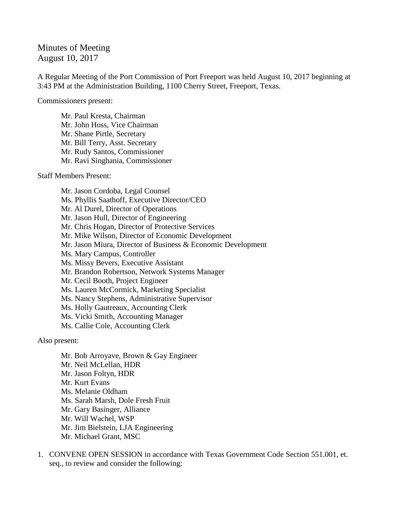## Minutes of Meeting August 10, 2017

A Regular Meeting of the Port Commission of Port Freeport was held August 10, 2017 beginning at 3:43 PM at the Administration Building, 1100 Cherry Street, Freeport, Texas.

Commissioners present:

Mr. Paul Kresta, Chairman Mr. John Hoss, Vice Chairman Mr. Shane Pirtle, Secretary Mr. Bill Terry, Asst. Secretary Mr. Rudy Santos, Commissioner Mr. Ravi Singhania, Commissioner

Staff Members Present:

Mr. Jason Cordoba, Legal Counsel Ms. Phyllis Saathoff, Executive Director/CEO Mr. Al Durel, Director of Operations Mr. Jason Hull, Director of Engineering Mr. Chris Hogan, Director of Protective Services Mr. Mike Wilson, Director of Economic Development Mr. Jason Miura, Director of Business & Economic Development Ms. Mary Campus, Controller Ms. Missy Bevers, Executive Assistant Mr. Brandon Robertson, Network Systems Manager Mr. Cecil Booth, Project Engineer Ms. Lauren McCormick, Marketing Specialist Ms. Nancy Stephens, Administrative Supervisor Ms. Holly Gautreaux, Accounting Clerk Ms. Vicki Smith, Accounting Manager Ms. Callie Cole, Accounting Clerk

Also present:

Mr. Bob Arroyave, Brown & Gay Engineer Mr. Neil McLellan, HDR Mr. Jason Foltyn, HDR Mr. Kurt Evans Ms. Melanie Oldham Ms. Sarah Marsh, Dole Fresh Fruit Mr. Gary Basinger, Alliance Mr. Will Wachel, WSP Mr. Jim Bielstein, LJA Engineering Mr. Michael Grant, MSC

1. CONVENE OPEN SESSION in accordance with Texas Government Code Section 551.001, et. seq., to review and consider the following: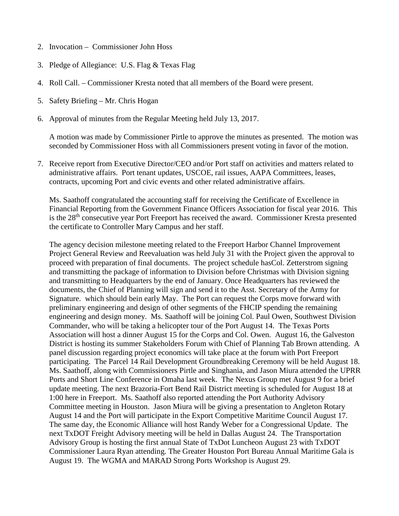- 2. Invocation Commissioner John Hoss
- 3. Pledge of Allegiance: U.S. Flag & Texas Flag
- 4. Roll Call. Commissioner Kresta noted that all members of the Board were present.
- 5. Safety Briefing Mr. Chris Hogan
- 6. Approval of minutes from the Regular Meeting held July 13, 2017.

A motion was made by Commissioner Pirtle to approve the minutes as presented. The motion was seconded by Commissioner Hoss with all Commissioners present voting in favor of the motion.

7. Receive report from Executive Director/CEO and/or Port staff on activities and matters related to administrative affairs. Port tenant updates, USCOE, rail issues, AAPA Committees, leases, contracts, upcoming Port and civic events and other related administrative affairs.

Ms. Saathoff congratulated the accounting staff for receiving the Certificate of Excellence in Financial Reporting from the Government Finance Officers Association for fiscal year 2016. This is the 28<sup>th</sup> consecutive year Port Freeport has received the award. Commissioner Kresta presented the certificate to Controller Mary Campus and her staff.

The agency decision milestone meeting related to the Freeport Harbor Channel Improvement Project General Review and Reevaluation was held July 31 with the Project given the approval to proceed with preparation of final documents. The project schedule hasCol. Zetterstrom signing and transmitting the package of information to Division before Christmas with Division signing and transmitting to Headquarters by the end of January. Once Headquarters has reviewed the documents, the Chief of Planning will sign and send it to the Asst. Secretary of the Army for Signature. which should bein early May. The Port can request the Corps move forward with preliminary engineering and design of other segments of the FHCIP spending the remaining engineering and design money. Ms. Saathoff will be joining Col. Paul Owen, Southwest Division Commander, who will be taking a helicopter tour of the Port August 14. The Texas Ports Association will host a dinner August 15 for the Corps and Col. Owen. August 16, the Galveston District is hosting its summer Stakeholders Forum with Chief of Planning Tab Brown attending. A panel discussion regarding project economics will take place at the forum with Port Freeport participating. The Parcel 14 Rail Development Groundbreaking Ceremony will be held August 18. Ms. Saathoff, along with Commissioners Pirtle and Singhania, and Jason Miura attended the UPRR Ports and Short Line Conference in Omaha last week. The Nexus Group met August 9 for a brief update meeting. The next Brazoria-Fort Bend Rail District meeting is scheduled for August 18 at 1:00 here in Freeport. Ms. Saathoff also reported attending the Port Authority Advisory Committee meeting in Houston. Jason Miura will be giving a presentation to Angleton Rotary August 14 and the Port will participate in the Export Competitive Maritime Council August 17. The same day, the Economic Alliance will host Randy Weber for a Congressional Update. The next TxDOT Freight Advisory meeting will be held in Dallas August 24. The Transportation Advisory Group is hosting the first annual State of TxDot Luncheon August 23 with TxDOT Commissioner Laura Ryan attending. The Greater Houston Port Bureau Annual Maritime Gala is August 19. The WGMA and MARAD Strong Ports Workshop is August 29.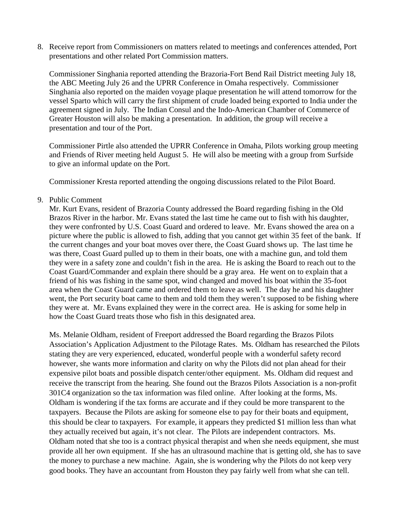8. Receive report from Commissioners on matters related to meetings and conferences attended, Port presentations and other related Port Commission matters.

Commissioner Singhania reported attending the Brazoria-Fort Bend Rail District meeting July 18, the ABC Meeting July 26 and the UPRR Conference in Omaha respectively. Commissioner Singhania also reported on the maiden voyage plaque presentation he will attend tomorrow for the vessel Sparto which will carry the first shipment of crude loaded being exported to India under the agreement signed in July. The Indian Consul and the Indo-American Chamber of Commerce of Greater Houston will also be making a presentation. In addition, the group will receive a presentation and tour of the Port.

Commissioner Pirtle also attended the UPRR Conference in Omaha, Pilots working group meeting and Friends of River meeting held August 5. He will also be meeting with a group from Surfside to give an informal update on the Port.

Commissioner Kresta reported attending the ongoing discussions related to the Pilot Board.

9. Public Comment

Mr. Kurt Evans, resident of Brazoria County addressed the Board regarding fishing in the Old Brazos River in the harbor. Mr. Evans stated the last time he came out to fish with his daughter, they were confronted by U.S. Coast Guard and ordered to leave. Mr. Evans showed the area on a picture where the public is allowed to fish, adding that you cannot get within 35 feet of the bank. If the current changes and your boat moves over there, the Coast Guard shows up. The last time he was there, Coast Guard pulled up to them in their boats, one with a machine gun, and told them they were in a safety zone and couldn't fish in the area. He is asking the Board to reach out to the Coast Guard/Commander and explain there should be a gray area. He went on to explain that a friend of his was fishing in the same spot, wind changed and moved his boat within the 35-foot area when the Coast Guard came and ordered them to leave as well. The day he and his daughter went, the Port security boat came to them and told them they weren't supposed to be fishing where they were at. Mr. Evans explained they were in the correct area. He is asking for some help in how the Coast Guard treats those who fish in this designated area.

Ms. Melanie Oldham, resident of Freeport addressed the Board regarding the Brazos Pilots Association's Application Adjustment to the Pilotage Rates. Ms. Oldham has researched the Pilots stating they are very experienced, educated, wonderful people with a wonderful safety record however, she wants more information and clarity on why the Pilots did not plan ahead for their expensive pilot boats and possible dispatch center/other equipment. Ms. Oldham did request and receive the transcript from the hearing. She found out the Brazos Pilots Association is a non-profit 301C4 organization so the tax information was filed online. After looking at the forms, Ms. Oldham is wondering if the tax forms are accurate and if they could be more transparent to the taxpayers. Because the Pilots are asking for someone else to pay for their boats and equipment, this should be clear to taxpayers. For example, it appears they predicted \$1 million less than what they actually received but again, it's not clear. The Pilots are independent contractors. Ms. Oldham noted that she too is a contract physical therapist and when she needs equipment, she must provide all her own equipment. If she has an ultrasound machine that is getting old, she has to save the money to purchase a new machine. Again, she is wondering why the Pilots do not keep very good books. They have an accountant from Houston they pay fairly well from what she can tell.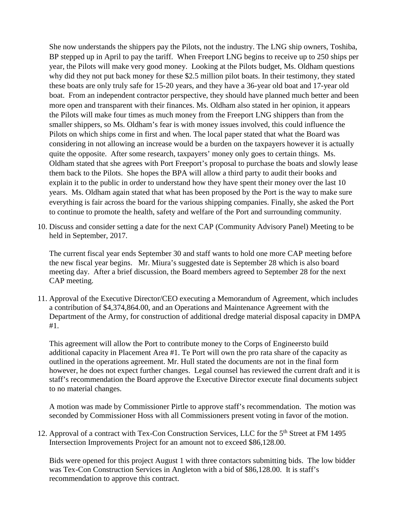She now understands the shippers pay the Pilots, not the industry. The LNG ship owners, Toshiba, BP stepped up in April to pay the tariff. When Freeport LNG begins to receive up to 250 ships per year, the Pilots will make very good money. Looking at the Pilots budget, Ms. Oldham questions why did they not put back money for these \$2.5 million pilot boats. In their testimony, they stated these boats are only truly safe for 15-20 years, and they have a 36-year old boat and 17-year old boat. From an independent contractor perspective, they should have planned much better and been more open and transparent with their finances. Ms. Oldham also stated in her opinion, it appears the Pilots will make four times as much money from the Freeport LNG shippers than from the smaller shippers, so Ms. Oldham's fear is with money issues involved, this could influence the Pilots on which ships come in first and when. The local paper stated that what the Board was considering in not allowing an increase would be a burden on the taxpayers however it is actually quite the opposite. After some research, taxpayers' money only goes to certain things. Ms. Oldham stated that she agrees with Port Freeport's proposal to purchase the boats and slowly lease them back to the Pilots. She hopes the BPA will allow a third party to audit their books and explain it to the public in order to understand how they have spent their money over the last 10 years. Ms. Oldham again stated that what has been proposed by the Port is the way to make sure everything is fair across the board for the various shipping companies. Finally, she asked the Port to continue to promote the health, safety and welfare of the Port and surrounding community.

10. Discuss and consider setting a date for the next CAP (Community Advisory Panel) Meeting to be held in September, 2017.

The current fiscal year ends September 30 and staff wants to hold one more CAP meeting before the new fiscal year begins. Mr. Miura's suggested date is September 28 which is also board meeting day. After a brief discussion, the Board members agreed to September 28 for the next CAP meeting.

11. Approval of the Executive Director/CEO executing a Memorandum of Agreement, which includes a contribution of \$4,374,864.00, and an Operations and Maintenance Agreement with the Department of the Army, for construction of additional dredge material disposal capacity in DMPA #1.

This agreement will allow the Port to contribute money to the Corps of Engineersto build additional capacity in Placement Area #1. Te Port will own the pro rata share of the capacity as outlined in the operations agreement. Mr. Hull stated the documents are not in the final form however, he does not expect further changes. Legal counsel has reviewed the current draft and it is staff's recommendation the Board approve the Executive Director execute final documents subject to no material changes.

A motion was made by Commissioner Pirtle to approve staff's recommendation. The motion was seconded by Commissioner Hoss with all Commissioners present voting in favor of the motion.

12. Approval of a contract with Tex-Con Construction Services, LLC for the 5<sup>th</sup> Street at FM 1495 Intersection Improvements Project for an amount not to exceed \$86,128.00.

Bids were opened for this project August 1 with three contactors submitting bids. The low bidder was Tex-Con Construction Services in Angleton with a bid of \$86,128.00. It is staff's recommendation to approve this contract.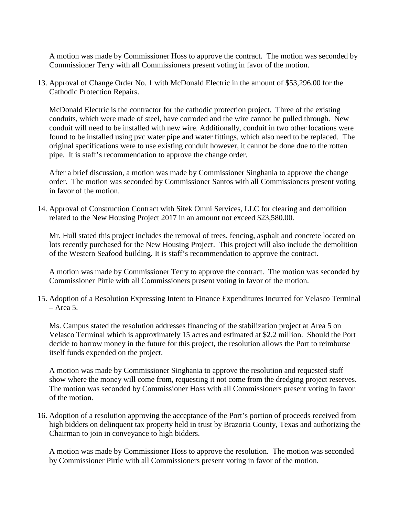A motion was made by Commissioner Hoss to approve the contract. The motion was seconded by Commissioner Terry with all Commissioners present voting in favor of the motion.

13. Approval of Change Order No. 1 with McDonald Electric in the amount of \$53,296.00 for the Cathodic Protection Repairs.

McDonald Electric is the contractor for the cathodic protection project. Three of the existing conduits, which were made of steel, have corroded and the wire cannot be pulled through. New conduit will need to be installed with new wire. Additionally, conduit in two other locations were found to be installed using pvc water pipe and water fittings, which also need to be replaced. The original specifications were to use existing conduit however, it cannot be done due to the rotten pipe. It is staff's recommendation to approve the change order.

After a brief discussion, a motion was made by Commissioner Singhania to approve the change order. The motion was seconded by Commissioner Santos with all Commissioners present voting in favor of the motion.

14. Approval of Construction Contract with Sitek Omni Services, LLC for clearing and demolition related to the New Housing Project 2017 in an amount not exceed \$23,580.00.

Mr. Hull stated this project includes the removal of trees, fencing, asphalt and concrete located on lots recently purchased for the New Housing Project. This project will also include the demolition of the Western Seafood building. It is staff's recommendation to approve the contract.

A motion was made by Commissioner Terry to approve the contract. The motion was seconded by Commissioner Pirtle with all Commissioners present voting in favor of the motion.

15. Adoption of a Resolution Expressing Intent to Finance Expenditures Incurred for Velasco Terminal – Area 5.

Ms. Campus stated the resolution addresses financing of the stabilization project at Area 5 on Velasco Terminal which is approximately 15 acres and estimated at \$2.2 million. Should the Port decide to borrow money in the future for this project, the resolution allows the Port to reimburse itself funds expended on the project.

A motion was made by Commissioner Singhania to approve the resolution and requested staff show where the money will come from, requesting it not come from the dredging project reserves. The motion was seconded by Commissioner Hoss with all Commissioners present voting in favor of the motion.

16. Adoption of a resolution approving the acceptance of the Port's portion of proceeds received from high bidders on delinquent tax property held in trust by Brazoria County, Texas and authorizing the Chairman to join in conveyance to high bidders.

A motion was made by Commissioner Hoss to approve the resolution. The motion was seconded by Commissioner Pirtle with all Commissioners present voting in favor of the motion.